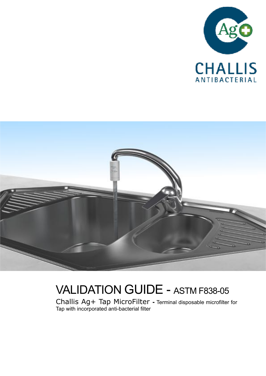



# VALIDATION GUIDE - ASTM F838-05

Challis Ag+ Tap MicroFilter **-** Terminal disposable microfilter for Tap with incorporated anti-bacterial filter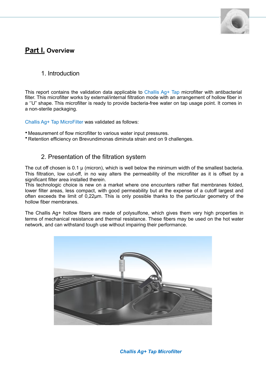

## **Part I. Overview**

#### 1. Introduction

This report contains the validation data applicable to Challis Ag+ Tap microfilter with antibacterial filter. This microfilter works by external/internal filtration mode with an arrangement of hollow fiber in a ''U" shape. This microfilter is ready to provide bacteria-free water on tap usage point. It comes in a non-sterile packaging.

Challis Ag+ Tap MicroFilter was validated as follows:

- Measurement of flow microfilter to various water input pressures.
- Retention efficiency on Brevundimonas diminuta strain and on 9 challenges.

#### 2. Presentation of the filtration system

The cut off chosen is 0.1  $\mu$  (micron), which is well below the minimum width of the smallest bacteria. This filtration, low cut-off, in no way alters the permeability of the microfilter as it is offset by a significant filter area installed therein.

This technologic choice is new on a market where one encounters rather flat membranes folded, lower filter areas, less compact, with good permeability but at the expense of a cutoff largest and often exceeds the limit of 0,22µm. This is only possible thanks to the particular geometry of the hollow fiber membranes.

The Challis Ag+ hollow fibers are made of polysulfone, which gives them very high properties in terms of mechanical resistance and thermal resistance. These fibers may be used on the hot water network, and can withstand tough use without impairing their performance.



*Challis Ag+ Tap Microfilter*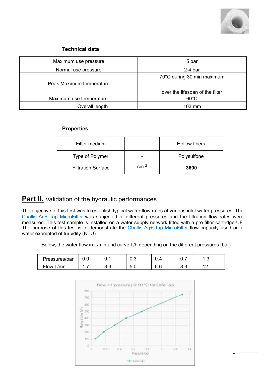

#### **Technical data**

| Maximum use pressure     | 5 bar                           |  |  |  |  |
|--------------------------|---------------------------------|--|--|--|--|
| Normal use pressure      | $2-4$ bar                       |  |  |  |  |
|                          | 70°C during 30 min maximum      |  |  |  |  |
| Peak Maximum temperature |                                 |  |  |  |  |
|                          | over the lifespan of the filter |  |  |  |  |
| Maximum use temperature  | $60^{\circ}$ C                  |  |  |  |  |
| Overall length           | $103 \text{ mm}$                |  |  |  |  |

#### **Properties**

| Filter medium             |                  | Hollow fibers |
|---------------------------|------------------|---------------|
| Type of Polymer           |                  | Polysulfone   |
| <b>Filtration Surface</b> | r.m <sup>2</sup> | 3600          |

## **Part II.** Validation of the hydraulic performances

The objective of this test was to establish typical water flow rates at various inlet water pressures. The Challis Ag+ Tap MicroFilter was subjected to different pressures and the filtration flow rates were measured. This test sample is installed on a water supply network fitted with a pre-filter cartridge UF. The purpose of this test is to demonstrate the Challis Ag+ Tap MicroFilter flow capacity used on a water exempted of turbidity (NTU).

Below, the water flow in L/min and curve L/h depending on the different pressures (bar)

| Pressures/bar | ◡.◡ | .        | v.v      |     | $\sim$   | $\cdot$ $\cdot$ |
|---------------|-----|----------|----------|-----|----------|-----------------|
| Flow<br>L/mn  | .   | ົ<br>U.U | -<br>v.v | v.v | ົ<br>∪.∪ | .               |

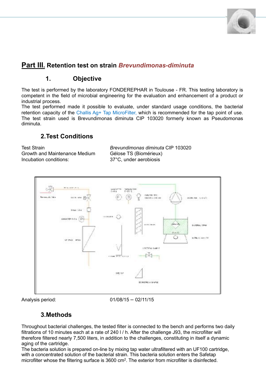

## **Part III. Retention test on strain** *Brevundimonas-diminuta*

## **1. Objective**

The test is performed by the laboratory FONDEREPHAR in Toulouse - FR. This testing laboratory is competent in the field of microbial engineering for the evaluation and enhancement of a product or industrial process.

The test performed made it possible to evaluate, under standard usage conditions, the bacterial retention capacity of the Challis Ag+ Tap MicroFilter, which is recommended for the tap point of use. The test strain used is Brevundimonas diminuta CIP 103020 formerly known as Pseudomonas diminuta.

### **2.Test Conditions**

Growth and Maintenance Medium Gélose TS (Biomérieux) Incubation conditions: 37°C, under aerobiosis

Test Strain *Brevundimonas diminuta* CIP 103020



Analysis period: 01/08/15 – 02/11/15

### **3.Methods**

Throughout bacterial challenges, the tested filter is connected to the bench and performs two daily filtrations of 10 minutes each at a rate of 240 l / h. After the challenge J93, the microfilter will therefore filtered nearly 7,500 liters, in addition to the challenges, constituting in itself a dynamic aging of the cartridge.

The bacteria solution is prepared on-line by mixing tap water ultrafiltered with an UF100 cartridge, with a concentrated solution of the bacterial strain. This bacteria solution enters the Safetap microfilter whose the filtering surface is 3600 cm2. The exterior from microfilter is disinfected.